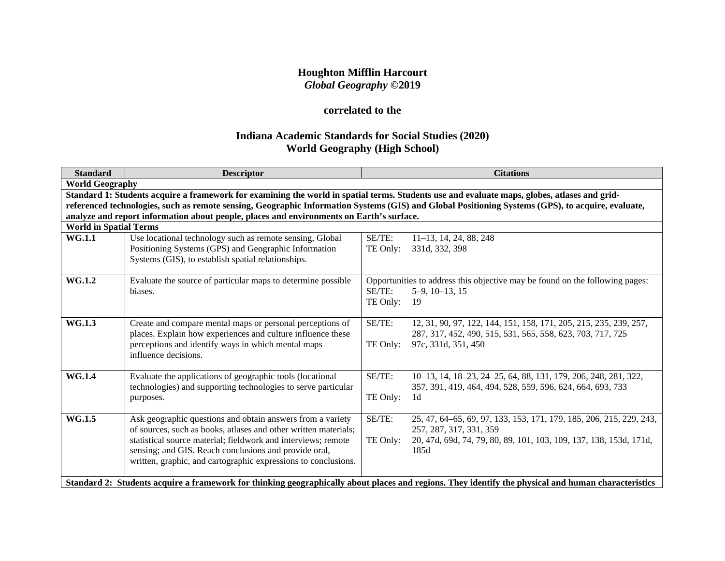# **Houghton Mifflin Harcourt** *Global Geography* **©2019**

# **correlated to the**

# **Indiana Academic Standards for Social Studies (2020) World Geography (High School)**

| <b>Standard</b>                                                                                                                                                                                                                                                                                                                                                                               | <b>Descriptor</b>                                                                                                                                                                                                                                                                                                         |                    | <b>Citations</b>                                                                                                                                                                                                                                                                                                                    |  |
|-----------------------------------------------------------------------------------------------------------------------------------------------------------------------------------------------------------------------------------------------------------------------------------------------------------------------------------------------------------------------------------------------|---------------------------------------------------------------------------------------------------------------------------------------------------------------------------------------------------------------------------------------------------------------------------------------------------------------------------|--------------------|-------------------------------------------------------------------------------------------------------------------------------------------------------------------------------------------------------------------------------------------------------------------------------------------------------------------------------------|--|
| <b>World Geography</b>                                                                                                                                                                                                                                                                                                                                                                        |                                                                                                                                                                                                                                                                                                                           |                    |                                                                                                                                                                                                                                                                                                                                     |  |
| Standard 1: Students acquire a framework for examining the world in spatial terms. Students use and evaluate maps, globes, atlases and grid-<br>referenced technologies, such as remote sensing, Geographic Information Systems (GIS) and Global Positioning Systems (GPS), to acquire, evaluate,<br>analyze and report information about people, places and environments on Earth's surface. |                                                                                                                                                                                                                                                                                                                           |                    |                                                                                                                                                                                                                                                                                                                                     |  |
| <b>World in Spatial Terms</b>                                                                                                                                                                                                                                                                                                                                                                 |                                                                                                                                                                                                                                                                                                                           |                    |                                                                                                                                                                                                                                                                                                                                     |  |
| <b>WG.1.1</b>                                                                                                                                                                                                                                                                                                                                                                                 | Use locational technology such as remote sensing, Global<br>Positioning Systems (GPS) and Geographic Information<br>Systems (GIS), to establish spatial relationships.                                                                                                                                                    | SE/TE:<br>TE Only: | 11-13, 14, 24, 88, 248<br>331d, 332, 398                                                                                                                                                                                                                                                                                            |  |
| <b>WG.1.2</b>                                                                                                                                                                                                                                                                                                                                                                                 | Evaluate the source of particular maps to determine possible<br>biases.                                                                                                                                                                                                                                                   | SE/TE:<br>TE Only: | Opportunities to address this objective may be found on the following pages:<br>$5-9$ , $10-13$ , $15$<br>19                                                                                                                                                                                                                        |  |
| WG.1.3                                                                                                                                                                                                                                                                                                                                                                                        | Create and compare mental maps or personal perceptions of<br>places. Explain how experiences and culture influence these<br>perceptions and identify ways in which mental maps<br>influence decisions.                                                                                                                    | SE/TE:<br>TE Only: | 12, 31, 90, 97, 122, 144, 151, 158, 171, 205, 215, 235, 239, 257,<br>287, 317, 452, 490, 515, 531, 565, 558, 623, 703, 717, 725<br>97c, 331d, 351, 450                                                                                                                                                                              |  |
| <b>WG.1.4</b>                                                                                                                                                                                                                                                                                                                                                                                 | Evaluate the applications of geographic tools (locational<br>technologies) and supporting technologies to serve particular<br>purposes.                                                                                                                                                                                   | SE/TE:<br>TE Only: | 10-13, 14, 18-23, 24-25, 64, 88, 131, 179, 206, 248, 281, 322,<br>357, 391, 419, 464, 494, 528, 559, 596, 624, 664, 693, 733<br>1d                                                                                                                                                                                                  |  |
| WG.1.5                                                                                                                                                                                                                                                                                                                                                                                        | Ask geographic questions and obtain answers from a variety<br>of sources, such as books, atlases and other written materials;<br>statistical source material; fieldwork and interviews; remote<br>sensing; and GIS. Reach conclusions and provide oral,<br>written, graphic, and cartographic expressions to conclusions. | SE/TE:<br>TE Only: | 25, 47, 64–65, 69, 97, 133, 153, 171, 179, 185, 206, 215, 229, 243,<br>257, 287, 317, 331, 359<br>20, 47d, 69d, 74, 79, 80, 89, 101, 103, 109, 137, 138, 153d, 171d,<br>185d<br>Standard 2: Students acquire a framework for thinking geographically about places and regions. They identify the physical and human characteristics |  |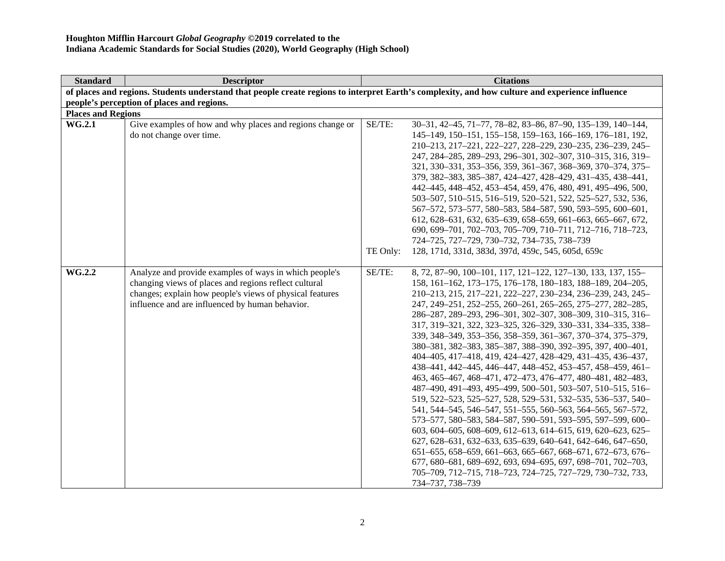| <b>Standard</b><br><b>Citations</b><br><b>Descriptor</b>                                                                                            |  |  |  |  |  |
|-----------------------------------------------------------------------------------------------------------------------------------------------------|--|--|--|--|--|
| of places and regions. Students understand that people create regions to interpret Earth's complexity, and how culture and experience influence     |  |  |  |  |  |
| people's perception of places and regions.                                                                                                          |  |  |  |  |  |
| <b>Places and Regions</b>                                                                                                                           |  |  |  |  |  |
| SE/TE:<br><b>WG.2.1</b><br>Give examples of how and why places and regions change or<br>30-31, 42-45, 71-77, 78-82, 83-86, 87-90, 135-139, 140-144, |  |  |  |  |  |
| do not change over time.<br>145-149, 150-151, 155-158, 159-163, 166-169, 176-181, 192,                                                              |  |  |  |  |  |
| 210-213, 217-221, 222-227, 228-229, 230-235, 236-239, 245-                                                                                          |  |  |  |  |  |
| 247, 284-285, 289-293, 296-301, 302-307, 310-315, 316, 319-                                                                                         |  |  |  |  |  |
| 321, 330-331, 353-356, 359, 361-367, 368-369, 370-374, 375-                                                                                         |  |  |  |  |  |
| 379, 382-383, 385-387, 424-427, 428-429, 431-435, 438-441,                                                                                          |  |  |  |  |  |
| 442-445, 448-452, 453-454, 459, 476, 480, 491, 495-496, 500,                                                                                        |  |  |  |  |  |
| 503-507, 510-515, 516-519, 520-521, 522, 525-527, 532, 536,                                                                                         |  |  |  |  |  |
| 567-572, 573-577, 580-583, 584-587, 590, 593-595, 600-601,                                                                                          |  |  |  |  |  |
| 612, 628-631, 632, 635-639, 658-659, 661-663, 665-667, 672,                                                                                         |  |  |  |  |  |
| 690, 699-701, 702-703, 705-709, 710-711, 712-716, 718-723,                                                                                          |  |  |  |  |  |
| 724-725, 727-729, 730-732, 734-735, 738-739                                                                                                         |  |  |  |  |  |
| TE Only:<br>128, 171d, 331d, 383d, 397d, 459c, 545, 605d, 659c                                                                                      |  |  |  |  |  |
|                                                                                                                                                     |  |  |  |  |  |
| <b>WG.2.2</b><br>SE/TE:<br>Analyze and provide examples of ways in which people's<br>8, 72, 87-90, 100-101, 117, 121-122, 127-130, 133, 137, 155-   |  |  |  |  |  |
| changing views of places and regions reflect cultural<br>158, 161-162, 173-175, 176-178, 180-183, 188-189, 204-205,                                 |  |  |  |  |  |
| changes; explain how people's views of physical features<br>210-213, 215, 217-221, 222-227, 230-234, 236-239, 243, 245-                             |  |  |  |  |  |
| influence and are influenced by human behavior.<br>247, 249-251, 252-255, 260-261, 265-265, 275-277, 282-285,                                       |  |  |  |  |  |
| 286-287, 289-293, 296-301, 302-307, 308-309, 310-315, 316-                                                                                          |  |  |  |  |  |
| 317, 319-321, 322, 323-325, 326-329, 330-331, 334-335, 338-                                                                                         |  |  |  |  |  |
| 339, 348-349, 353-356, 358-359, 361-367, 370-374, 375-379,                                                                                          |  |  |  |  |  |
| 380-381, 382-383, 385-387, 388-390, 392-395, 397, 400-401,                                                                                          |  |  |  |  |  |
| 404-405, 417-418, 419, 424-427, 428-429, 431-435, 436-437,                                                                                          |  |  |  |  |  |
| 438-441, 442-445, 446-447, 448-452, 453-457, 458-459, 461-                                                                                          |  |  |  |  |  |
| 463, 465-467, 468-471, 472-473, 476-477, 480-481, 482-483,                                                                                          |  |  |  |  |  |
| 487-490, 491-493, 495-499, 500-501, 503-507, 510-515, 516-                                                                                          |  |  |  |  |  |
| 519, 522-523, 525-527, 528, 529-531, 532-535, 536-537, 540-                                                                                         |  |  |  |  |  |
| 541, 544–545, 546–547, 551–555, 560–563, 564–565, 567–572,                                                                                          |  |  |  |  |  |
| 573-577, 580-583, 584-587, 590-591, 593-595, 597-599, 600-                                                                                          |  |  |  |  |  |
| 603, 604–605, 608–609, 612–613, 614–615, 619, 620–623, 625–<br>627, 628-631, 632-633, 635-639, 640-641, 642-646, 647-650,                           |  |  |  |  |  |
| 651-655, 658-659, 661-663, 665-667, 668-671, 672-673, 676-                                                                                          |  |  |  |  |  |
| 677, 680-681, 689-692, 693, 694-695, 697, 698-701, 702-703,                                                                                         |  |  |  |  |  |
| 705-709, 712-715, 718-723, 724-725, 727-729, 730-732, 733,                                                                                          |  |  |  |  |  |
| 734-737, 738-739                                                                                                                                    |  |  |  |  |  |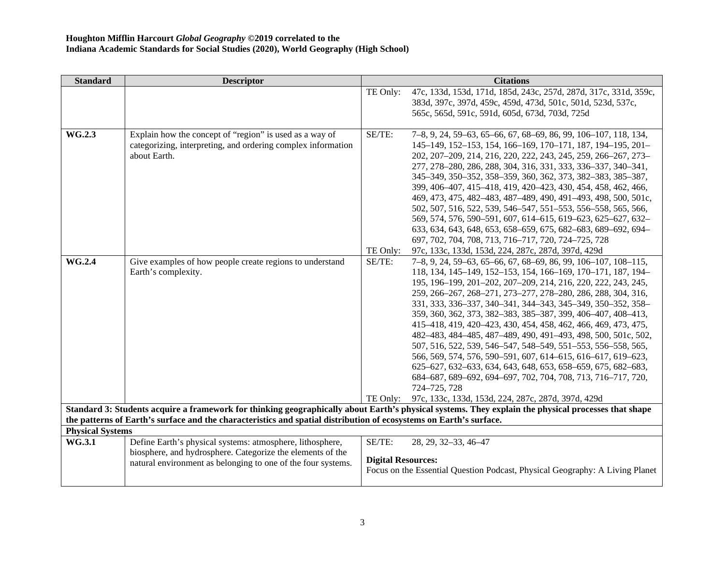| <b>Standard</b>         | <b>Descriptor</b>                                                                                                  |                           | <b>Citations</b>                                                                                                                                    |
|-------------------------|--------------------------------------------------------------------------------------------------------------------|---------------------------|-----------------------------------------------------------------------------------------------------------------------------------------------------|
|                         |                                                                                                                    | TE Only:                  | 47c, 133d, 153d, 171d, 185d, 243c, 257d, 287d, 317c, 331d, 359c,                                                                                    |
|                         |                                                                                                                    |                           | 383d, 397c, 397d, 459c, 459d, 473d, 501c, 501d, 523d, 537c,                                                                                         |
|                         |                                                                                                                    |                           | 565c, 565d, 591c, 591d, 605d, 673d, 703d, 725d                                                                                                      |
|                         |                                                                                                                    |                           |                                                                                                                                                     |
| WG.2.3                  | Explain how the concept of "region" is used as a way of                                                            | SE/TE:                    | 7-8, 9, 24, 59-63, 65-66, 67, 68-69, 86, 99, 106-107, 118, 134,                                                                                     |
|                         | categorizing, interpreting, and ordering complex information                                                       |                           | 145-149, 152-153, 154, 166-169, 170-171, 187, 194-195, 201-                                                                                         |
|                         | about Earth.                                                                                                       |                           | 202, 207-209, 214, 216, 220, 222, 243, 245, 259, 266-267, 273-                                                                                      |
|                         |                                                                                                                    |                           | 277, 278-280, 286, 288, 304, 316, 331, 333, 336-337, 340-341,                                                                                       |
|                         |                                                                                                                    |                           | 345-349, 350-352, 358-359, 360, 362, 373, 382-383, 385-387,                                                                                         |
|                         |                                                                                                                    |                           | 399, 406-407, 415-418, 419, 420-423, 430, 454, 458, 462, 466,                                                                                       |
|                         |                                                                                                                    |                           | 469, 473, 475, 482-483, 487-489, 490, 491-493, 498, 500, 501c,                                                                                      |
|                         |                                                                                                                    |                           | 502, 507, 516, 522, 539, 546-547, 551-553, 556-558, 565, 566,                                                                                       |
|                         |                                                                                                                    |                           | 569, 574, 576, 590-591, 607, 614-615, 619-623, 625-627, 632-<br>633, 634, 643, 648, 653, 658-659, 675, 682-683, 689-692, 694-                       |
|                         |                                                                                                                    |                           | 697, 702, 704, 708, 713, 716-717, 720, 724-725, 728                                                                                                 |
|                         |                                                                                                                    | TE Only:                  | 97c, 133c, 133d, 153d, 224, 287c, 287d, 397d, 429d                                                                                                  |
| <b>WG.2.4</b>           | Give examples of how people create regions to understand                                                           | SE/TE:                    | 7-8, 9, 24, 59-63, 65-66, 67, 68-69, 86, 99, 106-107, 108-115,                                                                                      |
|                         | Earth's complexity.                                                                                                |                           | 118, 134, 145-149, 152-153, 154, 166-169, 170-171, 187, 194-                                                                                        |
|                         |                                                                                                                    |                           | 195, 196-199, 201-202, 207-209, 214, 216, 220, 222, 243, 245,                                                                                       |
|                         |                                                                                                                    |                           | 259, 266-267, 268-271, 273-277, 278-280, 286, 288, 304, 316,                                                                                        |
|                         |                                                                                                                    |                           | 331, 333, 336-337, 340-341, 344-343, 345-349, 350-352, 358-                                                                                         |
|                         |                                                                                                                    |                           | 359, 360, 362, 373, 382-383, 385-387, 399, 406-407, 408-413,                                                                                        |
|                         |                                                                                                                    |                           | 415-418, 419, 420-423, 430, 454, 458, 462, 466, 469, 473, 475,                                                                                      |
|                         |                                                                                                                    |                           | 482-483, 484-485, 487-489, 490, 491-493, 498, 500, 501c, 502,                                                                                       |
|                         |                                                                                                                    |                           | 507, 516, 522, 539, 546–547, 548–549, 551–553, 556–558, 565,                                                                                        |
|                         |                                                                                                                    |                           | 566, 569, 574, 576, 590-591, 607, 614-615, 616-617, 619-623,                                                                                        |
|                         |                                                                                                                    |                           | 625-627, 632-633, 634, 643, 648, 653, 658-659, 675, 682-683,                                                                                        |
|                         |                                                                                                                    |                           | 684-687, 689-692, 694-697, 702, 704, 708, 713, 716-717, 720,                                                                                        |
|                         |                                                                                                                    |                           | 724-725, 728                                                                                                                                        |
|                         |                                                                                                                    |                           | TE Only: 97c, 133c, 133d, 153d, 224, 287c, 287d, 397d, 429d                                                                                         |
|                         |                                                                                                                    |                           | Standard 3: Students acquire a framework for thinking geographically about Earth's physical systems. They explain the physical processes that shape |
| <b>Physical Systems</b> | the patterns of Earth's surface and the characteristics and spatial distribution of ecosystems on Earth's surface. |                           |                                                                                                                                                     |
| WG.3.1                  | Define Earth's physical systems: atmosphere, lithosphere,                                                          | SE/TE:                    | 28, 29, 32-33, 46-47                                                                                                                                |
|                         | biosphere, and hydrosphere. Categorize the elements of the                                                         |                           |                                                                                                                                                     |
|                         | natural environment as belonging to one of the four systems.                                                       | <b>Digital Resources:</b> |                                                                                                                                                     |
|                         |                                                                                                                    |                           | Focus on the Essential Question Podcast, Physical Geography: A Living Planet                                                                        |
|                         |                                                                                                                    |                           |                                                                                                                                                     |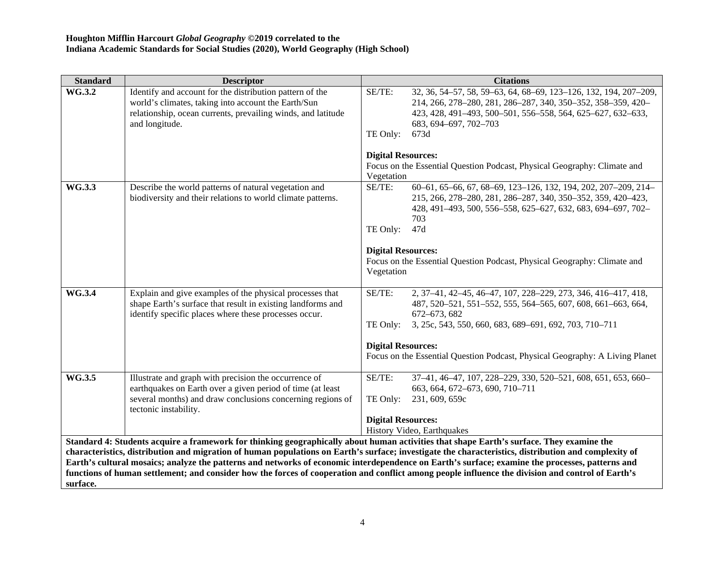| <b>Standard</b> | <b>Descriptor</b>                                            | <b>Citations</b>                                                                                                                                                                                                                                                                                        |
|-----------------|--------------------------------------------------------------|---------------------------------------------------------------------------------------------------------------------------------------------------------------------------------------------------------------------------------------------------------------------------------------------------------|
| WG.3.2          | Identify and account for the distribution pattern of the     | SE/TE:<br>32, 36, 54–57, 58, 59–63, 64, 68–69, 123–126, 132, 194, 207–209,                                                                                                                                                                                                                              |
|                 | world's climates, taking into account the Earth/Sun          | 214, 266, 278-280, 281, 286-287, 340, 350-352, 358-359, 420-                                                                                                                                                                                                                                            |
|                 | relationship, ocean currents, prevailing winds, and latitude | 423, 428, 491-493, 500-501, 556-558, 564, 625-627, 632-633,                                                                                                                                                                                                                                             |
|                 | and longitude.                                               | 683, 694-697, 702-703<br>673d                                                                                                                                                                                                                                                                           |
|                 |                                                              | TE Only:                                                                                                                                                                                                                                                                                                |
|                 |                                                              | <b>Digital Resources:</b>                                                                                                                                                                                                                                                                               |
|                 |                                                              | Focus on the Essential Question Podcast, Physical Geography: Climate and                                                                                                                                                                                                                                |
|                 |                                                              | Vegetation                                                                                                                                                                                                                                                                                              |
| <b>WG.3.3</b>   | Describe the world patterns of natural vegetation and        | SE/TE:<br>60-61, 65-66, 67, 68-69, 123-126, 132, 194, 202, 207-209, 214-                                                                                                                                                                                                                                |
|                 | biodiversity and their relations to world climate patterns.  | 215, 266, 278-280, 281, 286-287, 340, 350-352, 359, 420-423,                                                                                                                                                                                                                                            |
|                 |                                                              | 428, 491-493, 500, 556-558, 625-627, 632, 683, 694-697, 702-                                                                                                                                                                                                                                            |
|                 |                                                              | 703                                                                                                                                                                                                                                                                                                     |
|                 |                                                              | TE Only:<br>47d                                                                                                                                                                                                                                                                                         |
|                 |                                                              |                                                                                                                                                                                                                                                                                                         |
|                 |                                                              | <b>Digital Resources:</b><br>Focus on the Essential Question Podcast, Physical Geography: Climate and                                                                                                                                                                                                   |
|                 |                                                              | Vegetation                                                                                                                                                                                                                                                                                              |
|                 |                                                              |                                                                                                                                                                                                                                                                                                         |
| <b>WG.3.4</b>   | Explain and give examples of the physical processes that     | 2, 37-41, 42-45, 46-47, 107, 228-229, 273, 346, 416-417, 418,<br>SE/TE:                                                                                                                                                                                                                                 |
|                 | shape Earth's surface that result in existing landforms and  | 487, 520-521, 551-552, 555, 564-565, 607, 608, 661-663, 664,                                                                                                                                                                                                                                            |
|                 | identify specific places where these processes occur.        | 672-673, 682                                                                                                                                                                                                                                                                                            |
|                 |                                                              | TE Only:<br>3, 25c, 543, 550, 660, 683, 689-691, 692, 703, 710-711                                                                                                                                                                                                                                      |
|                 |                                                              | <b>Digital Resources:</b>                                                                                                                                                                                                                                                                               |
|                 |                                                              | Focus on the Essential Question Podcast, Physical Geography: A Living Planet                                                                                                                                                                                                                            |
|                 |                                                              |                                                                                                                                                                                                                                                                                                         |
| WG.3.5          | Illustrate and graph with precision the occurrence of        | SE/TE:<br>37-41, 46-47, 107, 228-229, 330, 520-521, 608, 651, 653, 660-                                                                                                                                                                                                                                 |
|                 | earthquakes on Earth over a given period of time (at least   | 663, 664, 672-673, 690, 710-711                                                                                                                                                                                                                                                                         |
|                 | several months) and draw conclusions concerning regions of   | 231, 609, 659c<br>TE Only:                                                                                                                                                                                                                                                                              |
|                 | tectonic instability.                                        |                                                                                                                                                                                                                                                                                                         |
|                 |                                                              | <b>Digital Resources:</b>                                                                                                                                                                                                                                                                               |
|                 |                                                              | History Video, Earthquakes                                                                                                                                                                                                                                                                              |
|                 |                                                              | Standard 4: Students acquire a framework for thinking geographically about human activities that shape Earth's surface. They examine the                                                                                                                                                                |
|                 |                                                              | characteristics, distribution and migration of human populations on Earth's surface; investigate the characteristics, distribution and complexity of<br>Earth's cultural mosaics; analyze the patterns and networks of economic interdependence on Earth's surface; examine the processes, patterns and |
|                 |                                                              | functions of human settlement; and consider how the forces of cooperation and conflict among people influence the division and control of Earth's                                                                                                                                                       |
| surface.        |                                                              |                                                                                                                                                                                                                                                                                                         |
|                 |                                                              |                                                                                                                                                                                                                                                                                                         |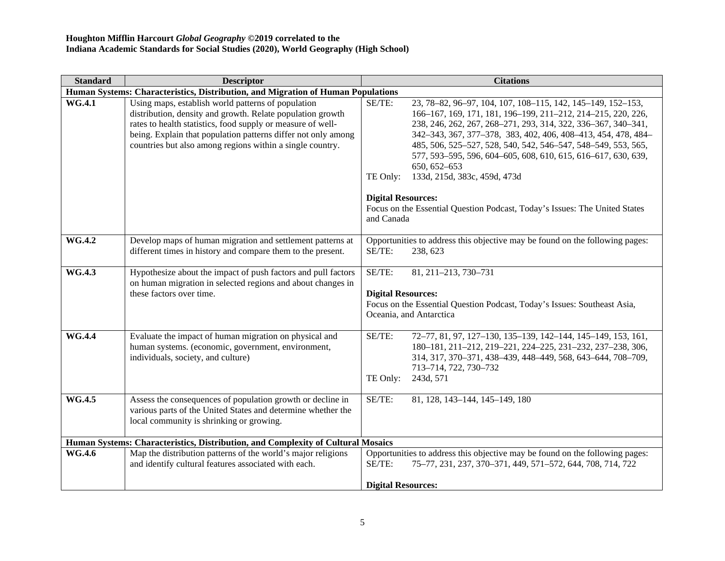| <b>Standard</b> | <b>Descriptor</b>                                                                                                                                                                                                                                                                                             | <b>Citations</b>                                                                                                                                                                                                                                                                                                                                                                                                                                                                                   |  |  |
|-----------------|---------------------------------------------------------------------------------------------------------------------------------------------------------------------------------------------------------------------------------------------------------------------------------------------------------------|----------------------------------------------------------------------------------------------------------------------------------------------------------------------------------------------------------------------------------------------------------------------------------------------------------------------------------------------------------------------------------------------------------------------------------------------------------------------------------------------------|--|--|
|                 | Human Systems: Characteristics, Distribution, and Migration of Human Populations                                                                                                                                                                                                                              |                                                                                                                                                                                                                                                                                                                                                                                                                                                                                                    |  |  |
| <b>WG.4.1</b>   | Using maps, establish world patterns of population<br>distribution, density and growth. Relate population growth<br>rates to health statistics, food supply or measure of well-<br>being. Explain that population patterns differ not only among<br>countries but also among regions within a single country. | SE/TE:<br>23, 78-82, 96-97, 104, 107, 108-115, 142, 145-149, 152-153,<br>166-167, 169, 171, 181, 196-199, 211-212, 214-215, 220, 226,<br>238, 246, 262, 267, 268-271, 293, 314, 322, 336-367, 340-341,<br>342-343, 367, 377-378, 383, 402, 406, 408-413, 454, 478, 484-<br>485, 506, 525-527, 528, 540, 542, 546-547, 548-549, 553, 565,<br>577, 593-595, 596, 604-605, 608, 610, 615, 616-617, 630, 639,<br>650, 652-653<br>133d, 215d, 383c, 459d, 473d<br>TE Only:<br><b>Digital Resources:</b> |  |  |
|                 |                                                                                                                                                                                                                                                                                                               | Focus on the Essential Question Podcast, Today's Issues: The United States<br>and Canada                                                                                                                                                                                                                                                                                                                                                                                                           |  |  |
| <b>WG.4.2</b>   | Develop maps of human migration and settlement patterns at<br>different times in history and compare them to the present.                                                                                                                                                                                     | Opportunities to address this objective may be found on the following pages:<br>SE/TE:<br>238, 623                                                                                                                                                                                                                                                                                                                                                                                                 |  |  |
| <b>WG.4.3</b>   | Hypothesize about the impact of push factors and pull factors<br>on human migration in selected regions and about changes in<br>these factors over time.                                                                                                                                                      | SE/TE:<br>81, 211-213, 730-731<br><b>Digital Resources:</b><br>Focus on the Essential Question Podcast, Today's Issues: Southeast Asia,<br>Oceania, and Antarctica                                                                                                                                                                                                                                                                                                                                 |  |  |
| <b>WG.4.4</b>   | Evaluate the impact of human migration on physical and<br>human systems. (economic, government, environment,<br>individuals, society, and culture)                                                                                                                                                            | SE/TE:<br>72-77, 81, 97, 127-130, 135-139, 142-144, 145-149, 153, 161,<br>180-181, 211-212, 219-221, 224-225, 231-232, 237-238, 306,<br>314, 317, 370-371, 438-439, 448-449, 568, 643-644, 708-709,<br>713-714, 722, 730-732<br>TE Only:<br>243d, 571                                                                                                                                                                                                                                              |  |  |
| <b>WG.4.5</b>   | Assess the consequences of population growth or decline in<br>various parts of the United States and determine whether the<br>local community is shrinking or growing.                                                                                                                                        | SE/TE:<br>81, 128, 143-144, 145-149, 180                                                                                                                                                                                                                                                                                                                                                                                                                                                           |  |  |
|                 | Human Systems: Characteristics, Distribution, and Complexity of Cultural Mosaics                                                                                                                                                                                                                              |                                                                                                                                                                                                                                                                                                                                                                                                                                                                                                    |  |  |
| <b>WG.4.6</b>   | Map the distribution patterns of the world's major religions<br>and identify cultural features associated with each.                                                                                                                                                                                          | Opportunities to address this objective may be found on the following pages:<br>SE/TE:<br>75-77, 231, 237, 370-371, 449, 571-572, 644, 708, 714, 722                                                                                                                                                                                                                                                                                                                                               |  |  |
|                 |                                                                                                                                                                                                                                                                                                               | <b>Digital Resources:</b>                                                                                                                                                                                                                                                                                                                                                                                                                                                                          |  |  |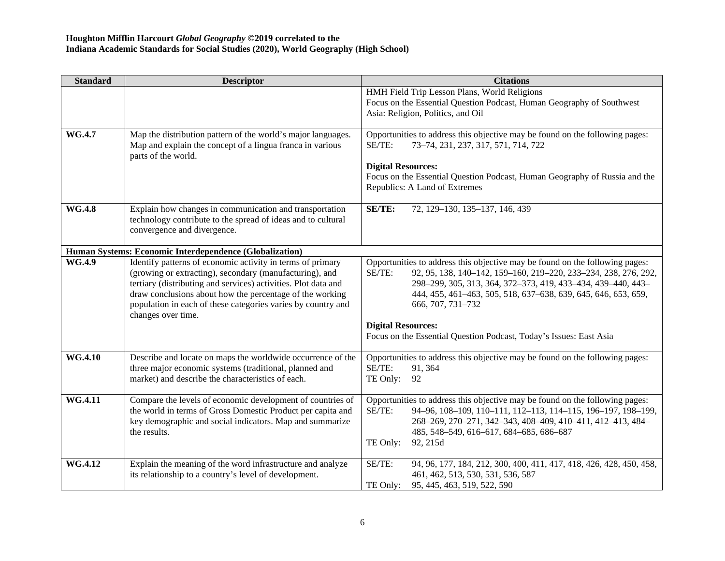| <b>Standard</b> | <b>Descriptor</b>                                                                                                                                                                                                                                                                                                                         | <b>Citations</b>                                                                                                                                                                                                                                                                                                                                                                                                    |
|-----------------|-------------------------------------------------------------------------------------------------------------------------------------------------------------------------------------------------------------------------------------------------------------------------------------------------------------------------------------------|---------------------------------------------------------------------------------------------------------------------------------------------------------------------------------------------------------------------------------------------------------------------------------------------------------------------------------------------------------------------------------------------------------------------|
|                 |                                                                                                                                                                                                                                                                                                                                           | HMH Field Trip Lesson Plans, World Religions<br>Focus on the Essential Question Podcast, Human Geography of Southwest<br>Asia: Religion, Politics, and Oil                                                                                                                                                                                                                                                          |
| WG.4.7          | Map the distribution pattern of the world's major languages.<br>Map and explain the concept of a lingua franca in various<br>parts of the world.                                                                                                                                                                                          | Opportunities to address this objective may be found on the following pages:<br>SE/TE:<br>73-74, 231, 237, 317, 571, 714, 722<br><b>Digital Resources:</b><br>Focus on the Essential Question Podcast, Human Geography of Russia and the<br>Republics: A Land of Extremes                                                                                                                                           |
| <b>WG.4.8</b>   | Explain how changes in communication and transportation<br>technology contribute to the spread of ideas and to cultural<br>convergence and divergence.                                                                                                                                                                                    | <b>SE/TE:</b><br>72, 129-130, 135-137, 146, 439                                                                                                                                                                                                                                                                                                                                                                     |
|                 | Human Systems: Economic Interdependence (Globalization)                                                                                                                                                                                                                                                                                   |                                                                                                                                                                                                                                                                                                                                                                                                                     |
| WG.4.9          | Identify patterns of economic activity in terms of primary<br>(growing or extracting), secondary (manufacturing), and<br>tertiary (distributing and services) activities. Plot data and<br>draw conclusions about how the percentage of the working<br>population in each of these categories varies by country and<br>changes over time. | Opportunities to address this objective may be found on the following pages:<br>92, 95, 138, 140-142, 159-160, 219-220, 233-234, 238, 276, 292,<br>SE/TE:<br>298-299, 305, 313, 364, 372-373, 419, 433-434, 439-440, 443-<br>444, 455, 461-463, 505, 518, 637-638, 639, 645, 646, 653, 659,<br>666, 707, 731-732<br><b>Digital Resources:</b><br>Focus on the Essential Question Podcast, Today's Issues: East Asia |
| <b>WG.4.10</b>  | Describe and locate on maps the worldwide occurrence of the<br>three major economic systems (traditional, planned and<br>market) and describe the characteristics of each.                                                                                                                                                                | Opportunities to address this objective may be found on the following pages:<br>SE/TE:<br>91, 364<br>TE Only:<br>92                                                                                                                                                                                                                                                                                                 |
| WG.4.11         | Compare the levels of economic development of countries of<br>the world in terms of Gross Domestic Product per capita and<br>key demographic and social indicators. Map and summarize<br>the results.                                                                                                                                     | Opportunities to address this objective may be found on the following pages:<br>SE/TE:<br>94-96, 108-109, 110-111, 112-113, 114-115, 196-197, 198-199,<br>268-269, 270-271, 342-343, 408-409, 410-411, 412-413, 484-<br>485, 548-549, 616-617, 684-685, 686-687<br>TE Only:<br>92, 215d                                                                                                                             |
| <b>WG.4.12</b>  | Explain the meaning of the word infrastructure and analyze<br>its relationship to a country's level of development.                                                                                                                                                                                                                       | SE/TE:<br>94, 96, 177, 184, 212, 300, 400, 411, 417, 418, 426, 428, 450, 458,<br>461, 462, 513, 530, 531, 536, 587<br>TE Only:<br>95, 445, 463, 519, 522, 590                                                                                                                                                                                                                                                       |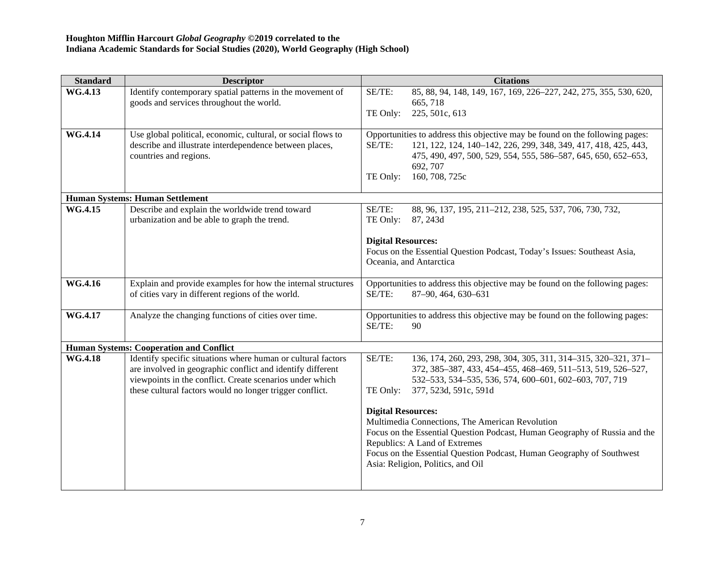| <b>Standard</b> | <b>Descriptor</b>                                                                                                                                                                                                                                  | <b>Citations</b>                                                                                                                                                                                                                                                                                                                                                                                                                                                                                                                                    |
|-----------------|----------------------------------------------------------------------------------------------------------------------------------------------------------------------------------------------------------------------------------------------------|-----------------------------------------------------------------------------------------------------------------------------------------------------------------------------------------------------------------------------------------------------------------------------------------------------------------------------------------------------------------------------------------------------------------------------------------------------------------------------------------------------------------------------------------------------|
| <b>WG.4.13</b>  | Identify contemporary spatial patterns in the movement of<br>goods and services throughout the world.                                                                                                                                              | 85, 88, 94, 148, 149, 167, 169, 226-227, 242, 275, 355, 530, 620,<br>SE/TE:<br>665, 718                                                                                                                                                                                                                                                                                                                                                                                                                                                             |
|                 |                                                                                                                                                                                                                                                    | TE Only:<br>225, 501c, 613                                                                                                                                                                                                                                                                                                                                                                                                                                                                                                                          |
| <b>WG.4.14</b>  | Use global political, economic, cultural, or social flows to<br>describe and illustrate interdependence between places,<br>countries and regions.                                                                                                  | Opportunities to address this objective may be found on the following pages:<br>SE/TE:<br>121, 122, 124, 140-142, 226, 299, 348, 349, 417, 418, 425, 443,<br>475, 490, 497, 500, 529, 554, 555, 586-587, 645, 650, 652-653,<br>692, 707<br>160, 708, 725c<br>TE Only:                                                                                                                                                                                                                                                                               |
|                 | <b>Human Systems: Human Settlement</b>                                                                                                                                                                                                             |                                                                                                                                                                                                                                                                                                                                                                                                                                                                                                                                                     |
| WG.4.15         | Describe and explain the worldwide trend toward<br>urbanization and be able to graph the trend.                                                                                                                                                    | SE/TE:<br>88, 96, 137, 195, 211-212, 238, 525, 537, 706, 730, 732,<br>TE Only:<br>87, 243d                                                                                                                                                                                                                                                                                                                                                                                                                                                          |
|                 |                                                                                                                                                                                                                                                    | <b>Digital Resources:</b><br>Focus on the Essential Question Podcast, Today's Issues: Southeast Asia,<br>Oceania, and Antarctica                                                                                                                                                                                                                                                                                                                                                                                                                    |
| <b>WG.4.16</b>  | Explain and provide examples for how the internal structures<br>of cities vary in different regions of the world.                                                                                                                                  | Opportunities to address this objective may be found on the following pages:<br>SE/TE:<br>87-90, 464, 630-631                                                                                                                                                                                                                                                                                                                                                                                                                                       |
| WG.4.17         | Analyze the changing functions of cities over time.                                                                                                                                                                                                | Opportunities to address this objective may be found on the following pages:<br>SE/TE:<br>90                                                                                                                                                                                                                                                                                                                                                                                                                                                        |
|                 | <b>Human Systems: Cooperation and Conflict</b>                                                                                                                                                                                                     |                                                                                                                                                                                                                                                                                                                                                                                                                                                                                                                                                     |
| <b>WG.4.18</b>  | Identify specific situations where human or cultural factors<br>are involved in geographic conflict and identify different<br>viewpoints in the conflict. Create scenarios under which<br>these cultural factors would no longer trigger conflict. | SE/TE:<br>136, 174, 260, 293, 298, 304, 305, 311, 314-315, 320-321, 371-<br>372, 385-387, 433, 454-455, 468-469, 511-513, 519, 526-527,<br>532-533, 534-535, 536, 574, 600-601, 602-603, 707, 719<br>TE Only:<br>377, 523d, 591c, 591d<br><b>Digital Resources:</b><br>Multimedia Connections, The American Revolution<br>Focus on the Essential Question Podcast, Human Geography of Russia and the<br>Republics: A Land of Extremes<br>Focus on the Essential Question Podcast, Human Geography of Southwest<br>Asia: Religion, Politics, and Oil |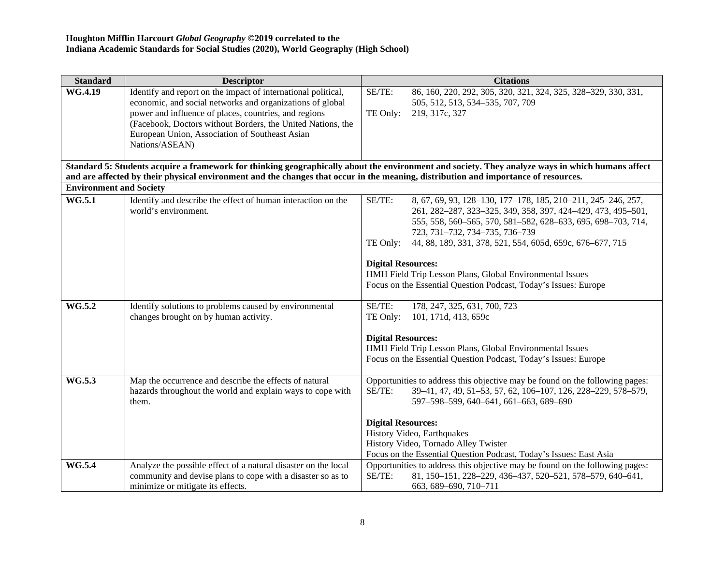| <b>Standard</b>                | <b>Descriptor</b>                                                                                                                   | <b>Citations</b>                                                                                                                                   |
|--------------------------------|-------------------------------------------------------------------------------------------------------------------------------------|----------------------------------------------------------------------------------------------------------------------------------------------------|
| <b>WG.4.19</b>                 | Identify and report on the impact of international political,                                                                       | SE/TE:<br>86, 160, 220, 292, 305, 320, 321, 324, 325, 328-329, 330, 331,                                                                           |
|                                | economic, and social networks and organizations of global                                                                           | 505, 512, 513, 534–535, 707, 709                                                                                                                   |
|                                | power and influence of places, countries, and regions                                                                               | TE Only:<br>219, 317c, 327                                                                                                                         |
|                                | (Facebook, Doctors without Borders, the United Nations, the                                                                         |                                                                                                                                                    |
|                                | European Union, Association of Southeast Asian                                                                                      |                                                                                                                                                    |
|                                | Nations/ASEAN)                                                                                                                      |                                                                                                                                                    |
|                                |                                                                                                                                     | Standard 5: Students acquire a framework for thinking geographically about the environment and society. They analyze ways in which humans affect   |
|                                | and are affected by their physical environment and the changes that occur in the meaning, distribution and importance of resources. |                                                                                                                                                    |
| <b>Environment and Society</b> |                                                                                                                                     |                                                                                                                                                    |
| <b>WG.5.1</b>                  | Identify and describe the effect of human interaction on the                                                                        | SE/TE:<br>8, 67, 69, 93, 128-130, 177-178, 185, 210-211, 245-246, 257,                                                                             |
|                                | world's environment.                                                                                                                | 261, 282-287, 323-325, 349, 358, 397, 424-429, 473, 495-501,                                                                                       |
|                                |                                                                                                                                     | 555, 558, 560-565, 570, 581-582, 628-633, 695, 698-703, 714,                                                                                       |
|                                |                                                                                                                                     | 723, 731-732, 734-735, 736-739                                                                                                                     |
|                                |                                                                                                                                     | 44, 88, 189, 331, 378, 521, 554, 605d, 659c, 676-677, 715<br>TE Only:                                                                              |
|                                |                                                                                                                                     | <b>Digital Resources:</b>                                                                                                                          |
|                                |                                                                                                                                     | HMH Field Trip Lesson Plans, Global Environmental Issues                                                                                           |
|                                |                                                                                                                                     | Focus on the Essential Question Podcast, Today's Issues: Europe                                                                                    |
|                                |                                                                                                                                     |                                                                                                                                                    |
| WG.5.2                         | Identify solutions to problems caused by environmental                                                                              | SE/TE:<br>178, 247, 325, 631, 700, 723                                                                                                             |
|                                | changes brought on by human activity.                                                                                               | TE Only:<br>101, 171d, 413, 659c                                                                                                                   |
|                                |                                                                                                                                     |                                                                                                                                                    |
|                                |                                                                                                                                     | <b>Digital Resources:</b>                                                                                                                          |
|                                |                                                                                                                                     | HMH Field Trip Lesson Plans, Global Environmental Issues<br>Focus on the Essential Question Podcast, Today's Issues: Europe                        |
|                                |                                                                                                                                     |                                                                                                                                                    |
| WG.5.3                         | Map the occurrence and describe the effects of natural                                                                              | Opportunities to address this objective may be found on the following pages:                                                                       |
|                                | hazards throughout the world and explain ways to cope with                                                                          | 39-41, 47, 49, 51-53, 57, 62, 106-107, 126, 228-229, 578-579,<br>$SE/TE$ :                                                                         |
|                                | them.                                                                                                                               | 597-598-599, 640-641, 661-663, 689-690                                                                                                             |
|                                |                                                                                                                                     |                                                                                                                                                    |
|                                |                                                                                                                                     | <b>Digital Resources:</b>                                                                                                                          |
|                                |                                                                                                                                     | History Video, Earthquakes                                                                                                                         |
|                                |                                                                                                                                     | History Video, Tornado Alley Twister                                                                                                               |
| <b>WG.5.4</b>                  | Analyze the possible effect of a natural disaster on the local                                                                      | Focus on the Essential Question Podcast, Today's Issues: East Asia<br>Opportunities to address this objective may be found on the following pages: |
|                                | community and devise plans to cope with a disaster so as to                                                                         | SE/TE:<br>81, 150-151, 228-229, 436-437, 520-521, 578-579, 640-641,                                                                                |
|                                | minimize or mitigate its effects.                                                                                                   | 663, 689–690, 710–711                                                                                                                              |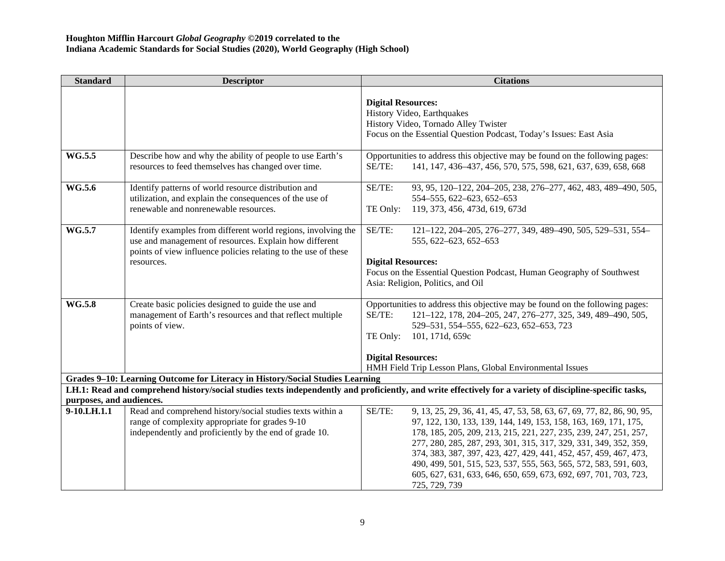| <b>Standard</b>          | <b>Descriptor</b>                                                                                                                                                                                       | <b>Citations</b>                                                                                                                                                                                                                                                                                                                                                                                                                                                                                                         |
|--------------------------|---------------------------------------------------------------------------------------------------------------------------------------------------------------------------------------------------------|--------------------------------------------------------------------------------------------------------------------------------------------------------------------------------------------------------------------------------------------------------------------------------------------------------------------------------------------------------------------------------------------------------------------------------------------------------------------------------------------------------------------------|
|                          |                                                                                                                                                                                                         | <b>Digital Resources:</b><br>History Video, Earthquakes<br>History Video, Tornado Alley Twister<br>Focus on the Essential Question Podcast, Today's Issues: East Asia                                                                                                                                                                                                                                                                                                                                                    |
| WG.5.5                   | Describe how and why the ability of people to use Earth's<br>resources to feed themselves has changed over time.                                                                                        | Opportunities to address this objective may be found on the following pages:<br>SE/TE:<br>141, 147, 436–437, 456, 570, 575, 598, 621, 637, 639, 658, 668                                                                                                                                                                                                                                                                                                                                                                 |
| <b>WG.5.6</b>            | Identify patterns of world resource distribution and<br>utilization, and explain the consequences of the use of<br>renewable and nonrenewable resources.                                                | SE/TE:<br>93, 95, 120-122, 204-205, 238, 276-277, 462, 483, 489-490, 505,<br>554-555, 622-623, 652-653<br>119, 373, 456, 473d, 619, 673d<br>TE Only:                                                                                                                                                                                                                                                                                                                                                                     |
| WG.5.7                   | Identify examples from different world regions, involving the<br>use and management of resources. Explain how different<br>points of view influence policies relating to the use of these<br>resources. | SE/TE:<br>121-122, 204-205, 276-277, 349, 489-490, 505, 529-531, 554-<br>555, 622-623, 652-653<br><b>Digital Resources:</b><br>Focus on the Essential Question Podcast, Human Geography of Southwest<br>Asia: Religion, Politics, and Oil                                                                                                                                                                                                                                                                                |
| <b>WG.5.8</b>            | Create basic policies designed to guide the use and<br>management of Earth's resources and that reflect multiple<br>points of view.                                                                     | Opportunities to address this objective may be found on the following pages:<br>121-122, 178, 204-205, 247, 276-277, 325, 349, 489-490, 505,<br>$SE/TE$ :<br>529-531, 554-555, 622-623, 652-653, 723<br>101, 171d, 659c<br>TE Only:<br><b>Digital Resources:</b><br>HMH Field Trip Lesson Plans, Global Environmental Issues                                                                                                                                                                                             |
|                          | Grades 9-10: Learning Outcome for Literacy in History/Social Studies Learning                                                                                                                           |                                                                                                                                                                                                                                                                                                                                                                                                                                                                                                                          |
|                          |                                                                                                                                                                                                         | LH.1: Read and comprehend history/social studies texts independently and proficiently, and write effectively for a variety of discipline-specific tasks,                                                                                                                                                                                                                                                                                                                                                                 |
| purposes, and audiences. |                                                                                                                                                                                                         |                                                                                                                                                                                                                                                                                                                                                                                                                                                                                                                          |
| 9-10.LH.1.1              | Read and comprehend history/social studies texts within a<br>range of complexity appropriate for grades 9-10<br>independently and proficiently by the end of grade 10.                                  | SE/TE:<br>9, 13, 25, 29, 36, 41, 45, 47, 53, 58, 63, 67, 69, 77, 82, 86, 90, 95,<br>97, 122, 130, 133, 139, 144, 149, 153, 158, 163, 169, 171, 175,<br>178, 185, 205, 209, 213, 215, 221, 227, 235, 239, 247, 251, 257,<br>277, 280, 285, 287, 293, 301, 315, 317, 329, 331, 349, 352, 359,<br>374, 383, 387, 397, 423, 427, 429, 441, 452, 457, 459, 467, 473,<br>490, 499, 501, 515, 523, 537, 555, 563, 565, 572, 583, 591, 603,<br>605, 627, 631, 633, 646, 650, 659, 673, 692, 697, 701, 703, 723,<br>725, 729, 739 |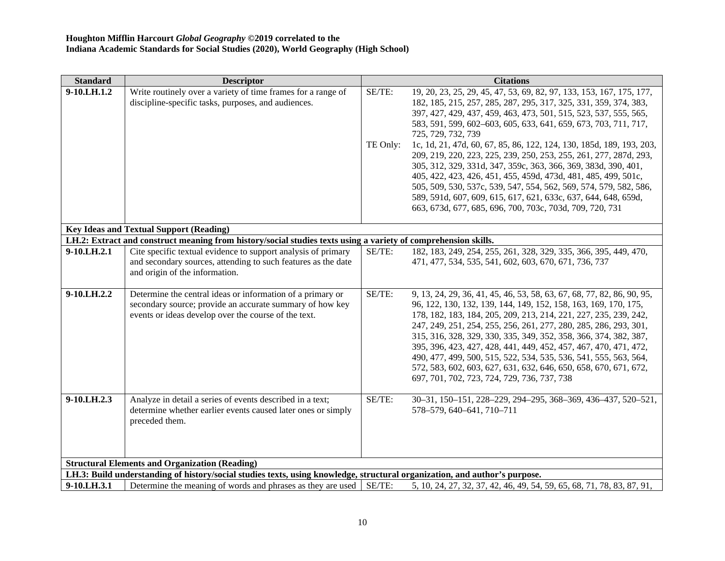| <b>Standard</b>                                       | <b>Descriptor</b>                                                                                                          |          | <b>Citations</b>                                                                                                                     |  |
|-------------------------------------------------------|----------------------------------------------------------------------------------------------------------------------------|----------|--------------------------------------------------------------------------------------------------------------------------------------|--|
| 9-10.LH.1.2                                           | Write routinely over a variety of time frames for a range of                                                               | SE/TE:   | 19, 20, 23, 25, 29, 45, 47, 53, 69, 82, 97, 133, 153, 167, 175, 177,                                                                 |  |
|                                                       | discipline-specific tasks, purposes, and audiences.                                                                        |          | 182, 185, 215, 257, 285, 287, 295, 317, 325, 331, 359, 374, 383,                                                                     |  |
|                                                       |                                                                                                                            |          | 397, 427, 429, 437, 459, 463, 473, 501, 515, 523, 537, 555, 565,<br>583, 591, 599, 602–603, 605, 633, 641, 659, 673, 703, 711, 717,  |  |
|                                                       |                                                                                                                            |          |                                                                                                                                      |  |
|                                                       |                                                                                                                            | TE Only: | 725, 729, 732, 739<br>1c, 1d, 21, 47d, 60, 67, 85, 86, 122, 124, 130, 185d, 189, 193, 203,                                           |  |
|                                                       |                                                                                                                            |          | 209, 219, 220, 223, 225, 239, 250, 253, 255, 261, 277, 287d, 293,                                                                    |  |
|                                                       |                                                                                                                            |          | 305, 312, 329, 331d, 347, 359c, 363, 366, 369, 383d, 390, 401,                                                                       |  |
|                                                       |                                                                                                                            |          | 405, 422, 423, 426, 451, 455, 459d, 473d, 481, 485, 499, 501c,                                                                       |  |
|                                                       |                                                                                                                            |          | 505, 509, 530, 537c, 539, 547, 554, 562, 569, 574, 579, 582, 586,                                                                    |  |
|                                                       |                                                                                                                            |          | 589, 591d, 607, 609, 615, 617, 621, 633c, 637, 644, 648, 659d,                                                                       |  |
|                                                       |                                                                                                                            |          | 663, 673d, 677, 685, 696, 700, 703c, 703d, 709, 720, 731                                                                             |  |
|                                                       |                                                                                                                            |          |                                                                                                                                      |  |
|                                                       | <b>Key Ideas and Textual Support (Reading)</b>                                                                             |          |                                                                                                                                      |  |
|                                                       | LH.2: Extract and construct meaning from history/social studies texts using a variety of comprehension skills.             |          |                                                                                                                                      |  |
| 9-10.LH.2.1                                           | Cite specific textual evidence to support analysis of primary                                                              | SE/TE:   | 182, 183, 249, 254, 255, 261, 328, 329, 335, 366, 395, 449, 470,                                                                     |  |
|                                                       | and secondary sources, attending to such features as the date                                                              |          | 471, 477, 534, 535, 541, 602, 603, 670, 671, 736, 737                                                                                |  |
|                                                       | and origin of the information.                                                                                             |          |                                                                                                                                      |  |
|                                                       |                                                                                                                            |          |                                                                                                                                      |  |
| 9-10.LH.2.2                                           | Determine the central ideas or information of a primary or                                                                 | SE/TE:   | 9, 13, 24, 29, 36, 41, 45, 46, 53, 58, 63, 67, 68, 77, 82, 86, 90, 95,                                                               |  |
|                                                       | secondary source; provide an accurate summary of how key                                                                   |          | 96, 122, 130, 132, 139, 144, 149, 152, 158, 163, 169, 170, 175,                                                                      |  |
|                                                       | events or ideas develop over the course of the text.                                                                       |          | 178, 182, 183, 184, 205, 209, 213, 214, 221, 227, 235, 239, 242,                                                                     |  |
|                                                       |                                                                                                                            |          | 247, 249, 251, 254, 255, 256, 261, 277, 280, 285, 286, 293, 301,                                                                     |  |
|                                                       |                                                                                                                            |          | 315, 316, 328, 329, 330, 335, 349, 352, 358, 366, 374, 382, 387,                                                                     |  |
|                                                       |                                                                                                                            |          | 395, 396, 423, 427, 428, 441, 449, 452, 457, 467, 470, 471, 472,                                                                     |  |
|                                                       |                                                                                                                            |          | 490, 477, 499, 500, 515, 522, 534, 535, 536, 541, 555, 563, 564,<br>572, 583, 602, 603, 627, 631, 632, 646, 650, 658, 670, 671, 672, |  |
|                                                       |                                                                                                                            |          | 697, 701, 702, 723, 724, 729, 736, 737, 738                                                                                          |  |
|                                                       |                                                                                                                            |          |                                                                                                                                      |  |
| 9-10.LH.2.3                                           | Analyze in detail a series of events described in a text;                                                                  | SE/TE:   | 30-31, 150-151, 228-229, 294-295, 368-369, 436-437, 520-521,                                                                         |  |
|                                                       | determine whether earlier events caused later ones or simply                                                               |          | 578-579, 640-641, 710-711                                                                                                            |  |
|                                                       | preceded them.                                                                                                             |          |                                                                                                                                      |  |
|                                                       |                                                                                                                            |          |                                                                                                                                      |  |
|                                                       |                                                                                                                            |          |                                                                                                                                      |  |
|                                                       |                                                                                                                            |          |                                                                                                                                      |  |
| <b>Structural Elements and Organization (Reading)</b> |                                                                                                                            |          |                                                                                                                                      |  |
|                                                       | LH.3: Build understanding of history/social studies texts, using knowledge, structural organization, and author's purpose. |          |                                                                                                                                      |  |
| 9-10.LH.3.1                                           | Determine the meaning of words and phrases as they are used SE/TE:                                                         |          | 5, 10, 24, 27, 32, 37, 42, 46, 49, 54, 59, 65, 68, 71, 78, 83, 87, 91,                                                               |  |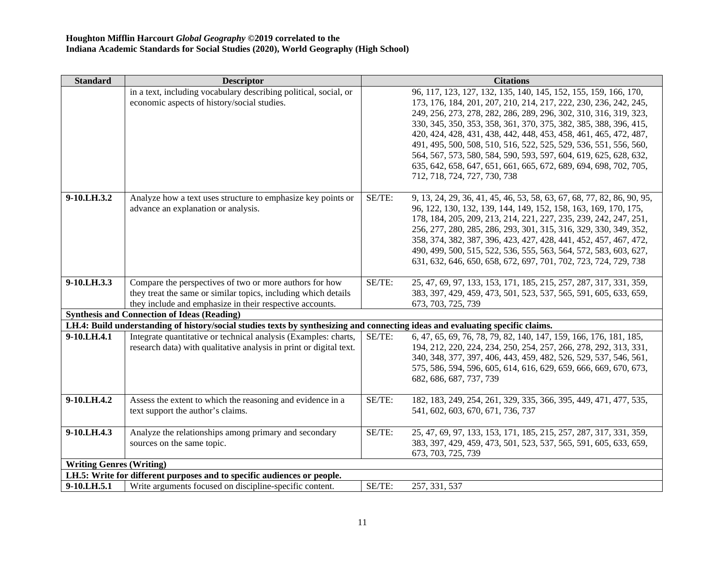| <b>Standard</b>                                    | <b>Descriptor</b>                                                                                                              |        | <b>Citations</b>                                                                                                                     |  |  |
|----------------------------------------------------|--------------------------------------------------------------------------------------------------------------------------------|--------|--------------------------------------------------------------------------------------------------------------------------------------|--|--|
|                                                    | in a text, including vocabulary describing political, social, or                                                               |        | 96, 117, 123, 127, 132, 135, 140, 145, 152, 155, 159, 166, 170,                                                                      |  |  |
|                                                    | economic aspects of history/social studies.                                                                                    |        | 173, 176, 184, 201, 207, 210, 214, 217, 222, 230, 236, 242, 245,                                                                     |  |  |
|                                                    |                                                                                                                                |        | 249, 256, 273, 278, 282, 286, 289, 296, 302, 310, 316, 319, 323,                                                                     |  |  |
|                                                    |                                                                                                                                |        | 330, 345, 350, 353, 358, 361, 370, 375, 382, 385, 388, 396, 415,                                                                     |  |  |
|                                                    |                                                                                                                                |        | 420, 424, 428, 431, 438, 442, 448, 453, 458, 461, 465, 472, 487,                                                                     |  |  |
|                                                    |                                                                                                                                |        | 491, 495, 500, 508, 510, 516, 522, 525, 529, 536, 551, 556, 560,                                                                     |  |  |
|                                                    |                                                                                                                                |        | 564, 567, 573, 580, 584, 590, 593, 597, 604, 619, 625, 628, 632,                                                                     |  |  |
|                                                    |                                                                                                                                |        | 635, 642, 658, 647, 651, 661, 665, 672, 689, 694, 698, 702, 705,                                                                     |  |  |
|                                                    |                                                                                                                                |        | 712, 718, 724, 727, 730, 738                                                                                                         |  |  |
|                                                    |                                                                                                                                |        |                                                                                                                                      |  |  |
| 9-10.LH.3.2                                        | Analyze how a text uses structure to emphasize key points or                                                                   | SE/TE: | 9, 13, 24, 29, 36, 41, 45, 46, 53, 58, 63, 67, 68, 77, 82, 86, 90, 95,                                                               |  |  |
|                                                    | advance an explanation or analysis.                                                                                            |        | 96, 122, 130, 132, 139, 144, 149, 152, 158, 163, 169, 170, 175,                                                                      |  |  |
|                                                    |                                                                                                                                |        | 178, 184, 205, 209, 213, 214, 221, 227, 235, 239, 242, 247, 251,                                                                     |  |  |
|                                                    |                                                                                                                                |        | 256, 277, 280, 285, 286, 293, 301, 315, 316, 329, 330, 349, 352,                                                                     |  |  |
|                                                    |                                                                                                                                |        | 358, 374, 382, 387, 396, 423, 427, 428, 441, 452, 457, 467, 472,<br>490, 499, 500, 515, 522, 536, 555, 563, 564, 572, 583, 603, 627, |  |  |
|                                                    |                                                                                                                                |        | 631, 632, 646, 650, 658, 672, 697, 701, 702, 723, 724, 729, 738                                                                      |  |  |
|                                                    |                                                                                                                                |        |                                                                                                                                      |  |  |
| 9-10.LH.3.3                                        | Compare the perspectives of two or more authors for how                                                                        | SE/TE: | 25, 47, 69, 97, 133, 153, 171, 185, 215, 257, 287, 317, 331, 359,                                                                    |  |  |
|                                                    | they treat the same or similar topics, including which details                                                                 |        | 383, 397, 429, 459, 473, 501, 523, 537, 565, 591, 605, 633, 659,                                                                     |  |  |
|                                                    | they include and emphasize in their respective accounts.                                                                       |        | 673, 703, 725, 739                                                                                                                   |  |  |
| <b>Synthesis and Connection of Ideas (Reading)</b> |                                                                                                                                |        |                                                                                                                                      |  |  |
|                                                    | LH.4: Build understanding of history/social studies texts by synthesizing and connecting ideas and evaluating specific claims. |        |                                                                                                                                      |  |  |
| 9-10.LH.4.1                                        | Integrate quantitative or technical analysis (Examples: charts,                                                                | SE/TE: | 6, 47, 65, 69, 76, 78, 79, 82, 140, 147, 159, 166, 176, 181, 185,                                                                    |  |  |
|                                                    | research data) with qualitative analysis in print or digital text.                                                             |        | 194, 212, 220, 224, 234, 250, 254, 257, 266, 278, 292, 313, 331,                                                                     |  |  |
|                                                    |                                                                                                                                |        | 340, 348, 377, 397, 406, 443, 459, 482, 526, 529, 537, 546, 561,                                                                     |  |  |
|                                                    |                                                                                                                                |        | 575, 586, 594, 596, 605, 614, 616, 629, 659, 666, 669, 670, 673,                                                                     |  |  |
|                                                    |                                                                                                                                |        | 682, 686, 687, 737, 739                                                                                                              |  |  |
| 9-10.LH.4.2                                        | Assess the extent to which the reasoning and evidence in a                                                                     | SE/TE: | 182, 183, 249, 254, 261, 329, 335, 366, 395, 449, 471, 477, 535,                                                                     |  |  |
|                                                    | text support the author's claims.                                                                                              |        | 541, 602, 603, 670, 671, 736, 737                                                                                                    |  |  |
|                                                    |                                                                                                                                |        |                                                                                                                                      |  |  |
| 9-10.LH.4.3                                        | Analyze the relationships among primary and secondary                                                                          | SE/TE: | 25, 47, 69, 97, 133, 153, 171, 185, 215, 257, 287, 317, 331, 359,                                                                    |  |  |
|                                                    | sources on the same topic.                                                                                                     |        | 383, 397, 429, 459, 473, 501, 523, 537, 565, 591, 605, 633, 659,                                                                     |  |  |
|                                                    |                                                                                                                                |        | 673, 703, 725, 739                                                                                                                   |  |  |
| <b>Writing Genres (Writing)</b>                    |                                                                                                                                |        |                                                                                                                                      |  |  |
|                                                    | LH.5: Write for different purposes and to specific audiences or people.                                                        |        |                                                                                                                                      |  |  |
| 9-10.LH <sub>.5.1</sub>                            | Write arguments focused on discipline-specific content.                                                                        | SE/TE: | 257, 331, 537                                                                                                                        |  |  |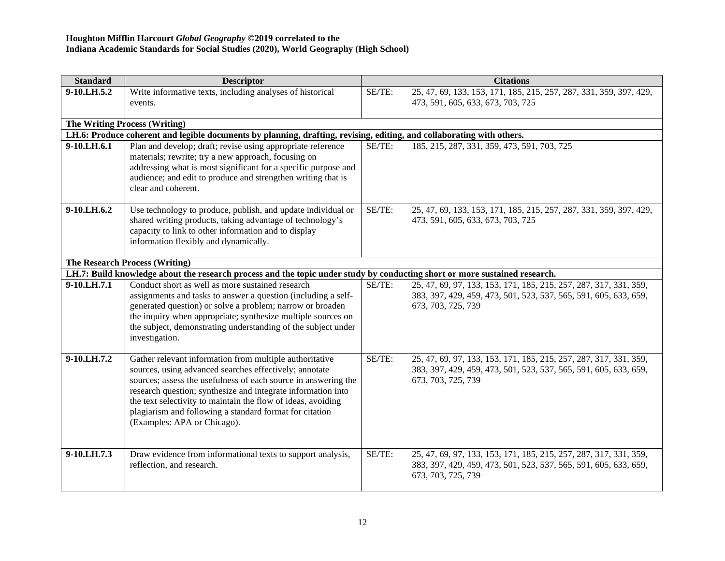| <b>Standard</b> | <b>Descriptor</b>                                                                                                                                                                                                                                                                                                                                                                                             |        | <b>Citations</b>                                                                                                                                            |
|-----------------|---------------------------------------------------------------------------------------------------------------------------------------------------------------------------------------------------------------------------------------------------------------------------------------------------------------------------------------------------------------------------------------------------------------|--------|-------------------------------------------------------------------------------------------------------------------------------------------------------------|
| 9-10.LH.5.2     | Write informative texts, including analyses of historical                                                                                                                                                                                                                                                                                                                                                     | SE/TE: | 25, 47, 69, 133, 153, 171, 185, 215, 257, 287, 331, 359, 397, 429,                                                                                          |
|                 | events.                                                                                                                                                                                                                                                                                                                                                                                                       |        | 473, 591, 605, 633, 673, 703, 725                                                                                                                           |
|                 | <b>The Writing Process (Writing)</b>                                                                                                                                                                                                                                                                                                                                                                          |        |                                                                                                                                                             |
|                 | LH.6: Produce coherent and legible documents by planning, drafting, revising, editing, and collaborating with others.                                                                                                                                                                                                                                                                                         |        |                                                                                                                                                             |
| 9-10.LH.6.1     | Plan and develop; draft; revise using appropriate reference<br>materials; rewrite; try a new approach, focusing on<br>addressing what is most significant for a specific purpose and<br>audience; and edit to produce and strengthen writing that is<br>clear and coherent.                                                                                                                                   | SE/TE: | 185, 215, 287, 331, 359, 473, 591, 703, 725                                                                                                                 |
| 9-10.LH.6.2     | Use technology to produce, publish, and update individual or<br>shared writing products, taking advantage of technology's<br>capacity to link to other information and to display<br>information flexibly and dynamically.                                                                                                                                                                                    | SE/TE: | 25, 47, 69, 133, 153, 171, 185, 215, 257, 287, 331, 359, 397, 429,<br>473, 591, 605, 633, 673, 703, 725                                                     |
|                 | <b>The Research Process (Writing)</b>                                                                                                                                                                                                                                                                                                                                                                         |        |                                                                                                                                                             |
|                 | LH.7: Build knowledge about the research process and the topic under study by conducting short or more sustained research.                                                                                                                                                                                                                                                                                    |        |                                                                                                                                                             |
| 9-10.LH.7.1     | Conduct short as well as more sustained research<br>assignments and tasks to answer a question (including a self-<br>generated question) or solve a problem; narrow or broaden<br>the inquiry when appropriate; synthesize multiple sources on<br>the subject, demonstrating understanding of the subject under<br>investigation.                                                                             | SE/TE: | 25, 47, 69, 97, 133, 153, 171, 185, 215, 257, 287, 317, 331, 359,<br>383, 397, 429, 459, 473, 501, 523, 537, 565, 591, 605, 633, 659,<br>673, 703, 725, 739 |
| 9-10.LH.7.2     | Gather relevant information from multiple authoritative<br>sources, using advanced searches effectively; annotate<br>sources; assess the usefulness of each source in answering the<br>research question; synthesize and integrate information into<br>the text selectivity to maintain the flow of ideas, avoiding<br>plagiarism and following a standard format for citation<br>(Examples: APA or Chicago). | SE/TE: | 25, 47, 69, 97, 133, 153, 171, 185, 215, 257, 287, 317, 331, 359,<br>383, 397, 429, 459, 473, 501, 523, 537, 565, 591, 605, 633, 659,<br>673, 703, 725, 739 |
| 9-10.LH.7.3     | Draw evidence from informational texts to support analysis,<br>reflection, and research.                                                                                                                                                                                                                                                                                                                      | SE/TE: | 25, 47, 69, 97, 133, 153, 171, 185, 215, 257, 287, 317, 331, 359,<br>383, 397, 429, 459, 473, 501, 523, 537, 565, 591, 605, 633, 659,<br>673, 703, 725, 739 |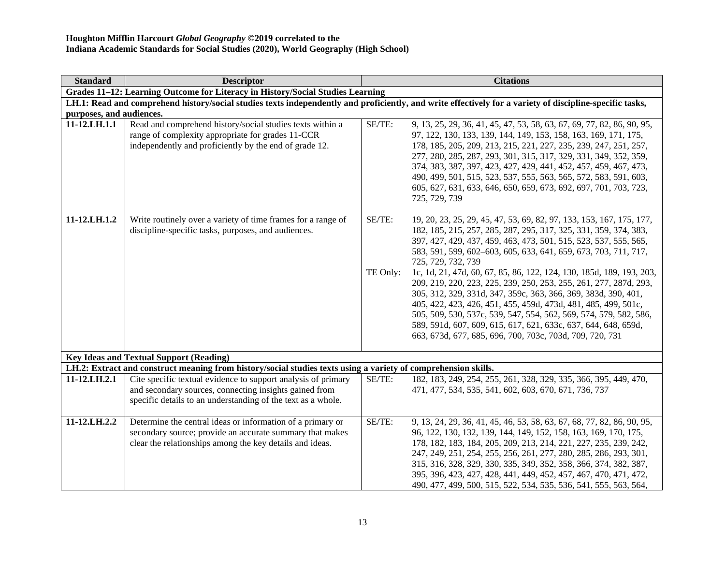| <b>Standard</b>                                                                                                                                          | <b>Descriptor</b>                                                                                                                                                                       |                    | <b>Citations</b>                                                                                                                                                                                                                                                                                                                                                                                                                                                                                                                                                                                                                                                                                                                                                                          |  |  |  |
|----------------------------------------------------------------------------------------------------------------------------------------------------------|-----------------------------------------------------------------------------------------------------------------------------------------------------------------------------------------|--------------------|-------------------------------------------------------------------------------------------------------------------------------------------------------------------------------------------------------------------------------------------------------------------------------------------------------------------------------------------------------------------------------------------------------------------------------------------------------------------------------------------------------------------------------------------------------------------------------------------------------------------------------------------------------------------------------------------------------------------------------------------------------------------------------------------|--|--|--|
|                                                                                                                                                          | Grades 11-12: Learning Outcome for Literacy in History/Social Studies Learning                                                                                                          |                    |                                                                                                                                                                                                                                                                                                                                                                                                                                                                                                                                                                                                                                                                                                                                                                                           |  |  |  |
| LH.1: Read and comprehend history/social studies texts independently and proficiently, and write effectively for a variety of discipline-specific tasks, |                                                                                                                                                                                         |                    |                                                                                                                                                                                                                                                                                                                                                                                                                                                                                                                                                                                                                                                                                                                                                                                           |  |  |  |
| purposes, and audiences.                                                                                                                                 |                                                                                                                                                                                         |                    |                                                                                                                                                                                                                                                                                                                                                                                                                                                                                                                                                                                                                                                                                                                                                                                           |  |  |  |
| 11-12.LH.1.1                                                                                                                                             | Read and comprehend history/social studies texts within a<br>range of complexity appropriate for grades 11-CCR<br>independently and proficiently by the end of grade 12.                | SE/TE:             | 9, 13, 25, 29, 36, 41, 45, 47, 53, 58, 63, 67, 69, 77, 82, 86, 90, 95,<br>97, 122, 130, 133, 139, 144, 149, 153, 158, 163, 169, 171, 175,<br>178, 185, 205, 209, 213, 215, 221, 227, 235, 239, 247, 251, 257,<br>277, 280, 285, 287, 293, 301, 315, 317, 329, 331, 349, 352, 359,<br>374, 383, 387, 397, 423, 427, 429, 441, 452, 457, 459, 467, 473,<br>490, 499, 501, 515, 523, 537, 555, 563, 565, 572, 583, 591, 603,<br>605, 627, 631, 633, 646, 650, 659, 673, 692, 697, 701, 703, 723,<br>725, 729, 739                                                                                                                                                                                                                                                                            |  |  |  |
| 11-12.LH.1.2                                                                                                                                             | Write routinely over a variety of time frames for a range of<br>discipline-specific tasks, purposes, and audiences.                                                                     | SE/TE:<br>TE Only: | 19, 20, 23, 25, 29, 45, 47, 53, 69, 82, 97, 133, 153, 167, 175, 177,<br>182, 185, 215, 257, 285, 287, 295, 317, 325, 331, 359, 374, 383,<br>397, 427, 429, 437, 459, 463, 473, 501, 515, 523, 537, 555, 565,<br>583, 591, 599, 602-603, 605, 633, 641, 659, 673, 703, 711, 717,<br>725, 729, 732, 739<br>1c, 1d, 21, 47d, 60, 67, 85, 86, 122, 124, 130, 185d, 189, 193, 203,<br>209, 219, 220, 223, 225, 239, 250, 253, 255, 261, 277, 287d, 293,<br>305, 312, 329, 331d, 347, 359c, 363, 366, 369, 383d, 390, 401,<br>405, 422, 423, 426, 451, 455, 459d, 473d, 481, 485, 499, 501c,<br>505, 509, 530, 537c, 539, 547, 554, 562, 569, 574, 579, 582, 586,<br>589, 591d, 607, 609, 615, 617, 621, 633c, 637, 644, 648, 659d,<br>663, 673d, 677, 685, 696, 700, 703c, 703d, 709, 720, 731 |  |  |  |
|                                                                                                                                                          | <b>Key Ideas and Textual Support (Reading)</b>                                                                                                                                          |                    |                                                                                                                                                                                                                                                                                                                                                                                                                                                                                                                                                                                                                                                                                                                                                                                           |  |  |  |
|                                                                                                                                                          | LH.2: Extract and construct meaning from history/social studies texts using a variety of comprehension skills.                                                                          |                    |                                                                                                                                                                                                                                                                                                                                                                                                                                                                                                                                                                                                                                                                                                                                                                                           |  |  |  |
| 11-12.LH.2.1                                                                                                                                             | Cite specific textual evidence to support analysis of primary<br>and secondary sources, connecting insights gained from<br>specific details to an understanding of the text as a whole. | SE/TE:             | 182, 183, 249, 254, 255, 261, 328, 329, 335, 366, 395, 449, 470,<br>471, 477, 534, 535, 541, 602, 603, 670, 671, 736, 737                                                                                                                                                                                                                                                                                                                                                                                                                                                                                                                                                                                                                                                                 |  |  |  |
| 11-12.LH.2.2                                                                                                                                             | Determine the central ideas or information of a primary or<br>secondary source; provide an accurate summary that makes<br>clear the relationships among the key details and ideas.      | SE/TE:             | 9, 13, 24, 29, 36, 41, 45, 46, 53, 58, 63, 67, 68, 77, 82, 86, 90, 95,<br>96, 122, 130, 132, 139, 144, 149, 152, 158, 163, 169, 170, 175,<br>178, 182, 183, 184, 205, 209, 213, 214, 221, 227, 235, 239, 242,<br>247, 249, 251, 254, 255, 256, 261, 277, 280, 285, 286, 293, 301,<br>315, 316, 328, 329, 330, 335, 349, 352, 358, 366, 374, 382, 387,<br>395, 396, 423, 427, 428, 441, 449, 452, 457, 467, 470, 471, 472,<br>490, 477, 499, 500, 515, 522, 534, 535, 536, 541, 555, 563, 564,                                                                                                                                                                                                                                                                                             |  |  |  |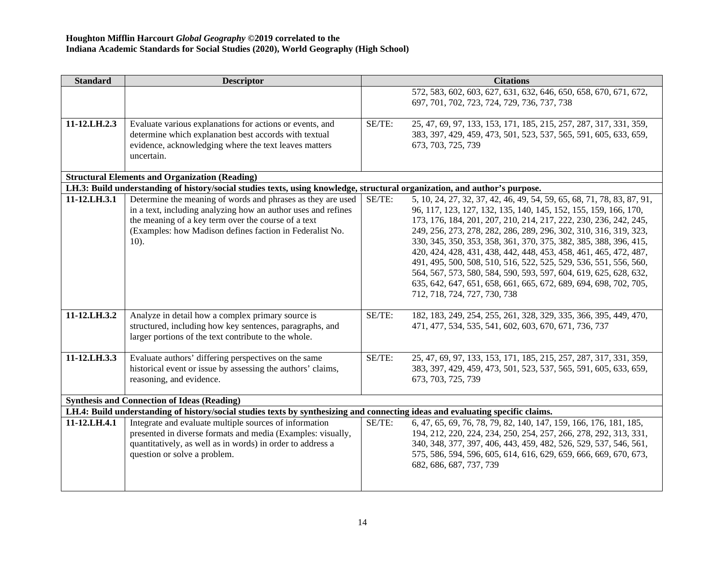| <b>Standard</b> | <b>Descriptor</b>                                                                                                                                                                                                                                          |        | <b>Citations</b>                                                                                                                                                                                                                                                                                                                                                                                                                                                                                                                                                                                                                                                      |
|-----------------|------------------------------------------------------------------------------------------------------------------------------------------------------------------------------------------------------------------------------------------------------------|--------|-----------------------------------------------------------------------------------------------------------------------------------------------------------------------------------------------------------------------------------------------------------------------------------------------------------------------------------------------------------------------------------------------------------------------------------------------------------------------------------------------------------------------------------------------------------------------------------------------------------------------------------------------------------------------|
|                 |                                                                                                                                                                                                                                                            |        | 572, 583, 602, 603, 627, 631, 632, 646, 650, 658, 670, 671, 672,<br>697, 701, 702, 723, 724, 729, 736, 737, 738                                                                                                                                                                                                                                                                                                                                                                                                                                                                                                                                                       |
| 11-12.LH.2.3    | Evaluate various explanations for actions or events, and<br>determine which explanation best accords with textual<br>evidence, acknowledging where the text leaves matters<br>uncertain.                                                                   | SE/TE: | 25, 47, 69, 97, 133, 153, 171, 185, 215, 257, 287, 317, 331, 359,<br>383, 397, 429, 459, 473, 501, 523, 537, 565, 591, 605, 633, 659,<br>673, 703, 725, 739                                                                                                                                                                                                                                                                                                                                                                                                                                                                                                           |
|                 | <b>Structural Elements and Organization (Reading)</b>                                                                                                                                                                                                      |        |                                                                                                                                                                                                                                                                                                                                                                                                                                                                                                                                                                                                                                                                       |
|                 | LH.3: Build understanding of history/social studies texts, using knowledge, structural organization, and author's purpose.                                                                                                                                 |        |                                                                                                                                                                                                                                                                                                                                                                                                                                                                                                                                                                                                                                                                       |
| 11-12.LH.3.1    | Determine the meaning of words and phrases as they are used<br>in a text, including analyzing how an author uses and refines<br>the meaning of a key term over the course of a text<br>(Examples: how Madison defines faction in Federalist No.<br>$10$ ). | SE/TE: | 5, 10, 24, 27, 32, 37, 42, 46, 49, 54, 59, 65, 68, 71, 78, 83, 87, 91,<br>96, 117, 123, 127, 132, 135, 140, 145, 152, 155, 159, 166, 170,<br>173, 176, 184, 201, 207, 210, 214, 217, 222, 230, 236, 242, 245,<br>249, 256, 273, 278, 282, 286, 289, 296, 302, 310, 316, 319, 323,<br>330, 345, 350, 353, 358, 361, 370, 375, 382, 385, 388, 396, 415,<br>420, 424, 428, 431, 438, 442, 448, 453, 458, 461, 465, 472, 487,<br>491, 495, 500, 508, 510, 516, 522, 525, 529, 536, 551, 556, 560,<br>564, 567, 573, 580, 584, 590, 593, 597, 604, 619, 625, 628, 632,<br>635, 642, 647, 651, 658, 661, 665, 672, 689, 694, 698, 702, 705,<br>712, 718, 724, 727, 730, 738 |
| 11-12.LH.3.2    | Analyze in detail how a complex primary source is<br>structured, including how key sentences, paragraphs, and<br>larger portions of the text contribute to the whole.                                                                                      | SE/TE: | 182, 183, 249, 254, 255, 261, 328, 329, 335, 366, 395, 449, 470,<br>471, 477, 534, 535, 541, 602, 603, 670, 671, 736, 737                                                                                                                                                                                                                                                                                                                                                                                                                                                                                                                                             |
| 11-12.LH.3.3    | Evaluate authors' differing perspectives on the same<br>historical event or issue by assessing the authors' claims,<br>reasoning, and evidence.                                                                                                            | SE/TE: | 25, 47, 69, 97, 133, 153, 171, 185, 215, 257, 287, 317, 331, 359,<br>383, 397, 429, 459, 473, 501, 523, 537, 565, 591, 605, 633, 659,<br>673, 703, 725, 739                                                                                                                                                                                                                                                                                                                                                                                                                                                                                                           |
|                 | <b>Synthesis and Connection of Ideas (Reading)</b>                                                                                                                                                                                                         |        |                                                                                                                                                                                                                                                                                                                                                                                                                                                                                                                                                                                                                                                                       |
|                 | LH.4: Build understanding of history/social studies texts by synthesizing and connecting ideas and evaluating specific claims.                                                                                                                             |        |                                                                                                                                                                                                                                                                                                                                                                                                                                                                                                                                                                                                                                                                       |
| 11-12.LH.4.1    | Integrate and evaluate multiple sources of information<br>presented in diverse formats and media (Examples: visually,<br>quantitatively, as well as in words) in order to address a<br>question or solve a problem.                                        | SE/TE: | 6, 47, 65, 69, 76, 78, 79, 82, 140, 147, 159, 166, 176, 181, 185,<br>194, 212, 220, 224, 234, 250, 254, 257, 266, 278, 292, 313, 331,<br>340, 348, 377, 397, 406, 443, 459, 482, 526, 529, 537, 546, 561,<br>575, 586, 594, 596, 605, 614, 616, 629, 659, 666, 669, 670, 673,<br>682, 686, 687, 737, 739                                                                                                                                                                                                                                                                                                                                                              |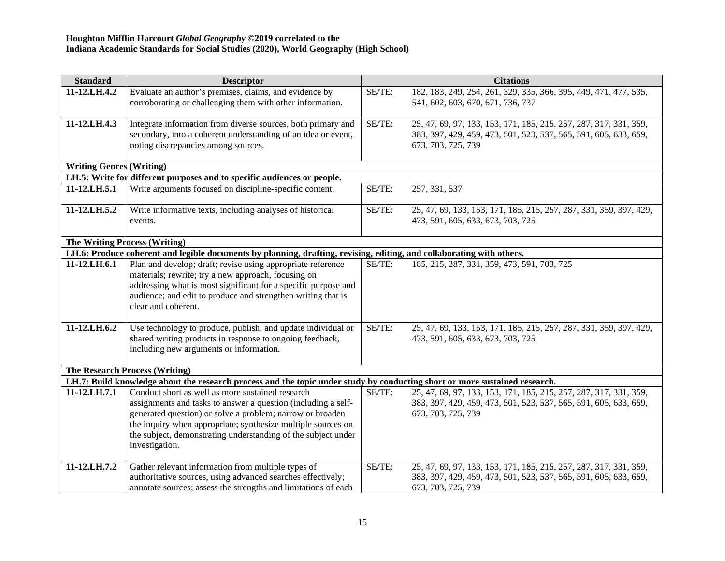| <b>Standard</b>                 | <b>Descriptor</b>                                                                                                              |        | <b>Citations</b>                                                   |
|---------------------------------|--------------------------------------------------------------------------------------------------------------------------------|--------|--------------------------------------------------------------------|
| 11-12.LH.4.2                    | Evaluate an author's premises, claims, and evidence by                                                                         | SE/TE: | 182, 183, 249, 254, 261, 329, 335, 366, 395, 449, 471, 477, 535,   |
|                                 | corroborating or challenging them with other information.                                                                      |        | 541, 602, 603, 670, 671, 736, 737                                  |
| 11-12.LH.4.3                    | Integrate information from diverse sources, both primary and                                                                   | SE/TE: | 25, 47, 69, 97, 133, 153, 171, 185, 215, 257, 287, 317, 331, 359,  |
|                                 | secondary, into a coherent understanding of an idea or event,                                                                  |        | 383, 397, 429, 459, 473, 501, 523, 537, 565, 591, 605, 633, 659,   |
|                                 | noting discrepancies among sources.                                                                                            |        | 673, 703, 725, 739                                                 |
|                                 |                                                                                                                                |        |                                                                    |
| <b>Writing Genres (Writing)</b> |                                                                                                                                |        |                                                                    |
|                                 | LH.5: Write for different purposes and to specific audiences or people.                                                        |        |                                                                    |
| 11-12.LH.5.1                    | Write arguments focused on discipline-specific content.                                                                        | SE/TE: | 257, 331, 537                                                      |
| 11-12.LH.5.2                    | Write informative texts, including analyses of historical                                                                      | SE/TE: | 25, 47, 69, 133, 153, 171, 185, 215, 257, 287, 331, 359, 397, 429, |
|                                 | events.                                                                                                                        |        | 473, 591, 605, 633, 673, 703, 725                                  |
|                                 |                                                                                                                                |        |                                                                    |
|                                 | The Writing Process (Writing)                                                                                                  |        |                                                                    |
|                                 | LH.6: Produce coherent and legible documents by planning, drafting, revising, editing, and collaborating with others.          |        |                                                                    |
| 11-12.LH.6.1                    | Plan and develop; draft; revise using appropriate reference                                                                    | SE/TE: | 185, 215, 287, 331, 359, 473, 591, 703, 725                        |
|                                 | materials; rewrite; try a new approach, focusing on                                                                            |        |                                                                    |
|                                 | addressing what is most significant for a specific purpose and<br>audience; and edit to produce and strengthen writing that is |        |                                                                    |
|                                 | clear and coherent.                                                                                                            |        |                                                                    |
|                                 |                                                                                                                                |        |                                                                    |
| 11-12.LH.6.2                    | Use technology to produce, publish, and update individual or                                                                   | SE/TE: | 25, 47, 69, 133, 153, 171, 185, 215, 257, 287, 331, 359, 397, 429, |
|                                 | shared writing products in response to ongoing feedback,                                                                       |        | 473, 591, 605, 633, 673, 703, 725                                  |
|                                 | including new arguments or information.                                                                                        |        |                                                                    |
|                                 |                                                                                                                                |        |                                                                    |
|                                 | <b>The Research Process (Writing)</b>                                                                                          |        |                                                                    |
|                                 | LH.7: Build knowledge about the research process and the topic under study by conducting short or more sustained research.     |        |                                                                    |
| 11-12.LH.7.1                    | Conduct short as well as more sustained research                                                                               | SE/TE: | 25, 47, 69, 97, 133, 153, 171, 185, 215, 257, 287, 317, 331, 359,  |
|                                 | assignments and tasks to answer a question (including a self-                                                                  |        | 383, 397, 429, 459, 473, 501, 523, 537, 565, 591, 605, 633, 659,   |
|                                 | generated question) or solve a problem; narrow or broaden                                                                      |        | 673, 703, 725, 739                                                 |
|                                 | the inquiry when appropriate; synthesize multiple sources on                                                                   |        |                                                                    |
|                                 | the subject, demonstrating understanding of the subject under                                                                  |        |                                                                    |
|                                 | investigation.                                                                                                                 |        |                                                                    |
| $11-12.LH.7.2$                  | Gather relevant information from multiple types of                                                                             | SE/TE: | 25, 47, 69, 97, 133, 153, 171, 185, 215, 257, 287, 317, 331, 359,  |
|                                 | authoritative sources, using advanced searches effectively;                                                                    |        | 383, 397, 429, 459, 473, 501, 523, 537, 565, 591, 605, 633, 659,   |
|                                 | annotate sources; assess the strengths and limitations of each                                                                 |        | 673, 703, 725, 739                                                 |